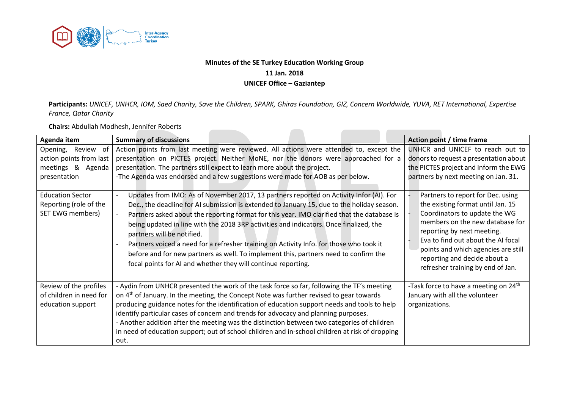

## **Minutes of the SE Turkey Education Working Group 11 Jan. 2018 UNICEF Office – Gaziantep**

**Participants:** *UNICEF, UNHCR, IOM, Saed Charity, Save the Children, SPARK, Ghiras Foundation, GIZ, Concern Worldwide, YUVA, RET International, Expertise France, Qatar Charity*

 $\sim$ 

**Chairs:** Abdullah Modhesh, Jennifer Roberts

| Agenda item                                                                        | <b>Summary of discussions</b>                                                                                                                                                                                                                                                                                                                                                                                                                                                                                                                                                                                                                                                                                  | Action point / time frame                                                                                                                                                                                                                                                                                                  |
|------------------------------------------------------------------------------------|----------------------------------------------------------------------------------------------------------------------------------------------------------------------------------------------------------------------------------------------------------------------------------------------------------------------------------------------------------------------------------------------------------------------------------------------------------------------------------------------------------------------------------------------------------------------------------------------------------------------------------------------------------------------------------------------------------------|----------------------------------------------------------------------------------------------------------------------------------------------------------------------------------------------------------------------------------------------------------------------------------------------------------------------------|
| Opening, Review of<br>action points from last<br>meetings & Agenda<br>presentation | Action points from last meeting were reviewed. All actions were attended to, except the<br>presentation on PICTES project. Neither MoNE, nor the donors were approached for a<br>presentation. The partners still expect to learn more about the project.<br>-The Agenda was endorsed and a few suggestions were made for AOB as per below.                                                                                                                                                                                                                                                                                                                                                                    | UNHCR and UNICEF to reach out to<br>donors to request a presentation about<br>the PICTES project and inform the EWG<br>partners by next meeting on Jan. 31.                                                                                                                                                                |
| <b>Education Sector</b><br>Reporting (role of the<br><b>SET EWG members)</b>       | Updates from IMO: As of November 2017, 13 partners reported on Activity Infor (AI). For<br>$\overline{a}$<br>Dec., the deadline for AI submission is extended to January 15, due to the holiday season.<br>Partners asked about the reporting format for this year. IMO clarified that the database is<br>$\overline{\phantom{a}}$<br>being updated in line with the 2018 3RP activities and indicators. Once finalized, the<br>partners will be notified.<br>Partners voiced a need for a refresher training on Activity Info. for those who took it<br>before and for new partners as well. To implement this, partners need to confirm the<br>focal points for AI and whether they will continue reporting. | Partners to report for Dec. using<br>the existing format until Jan. 15<br>Coordinators to update the WG<br>members on the new database for<br>reporting by next meeting.<br>Eva to find out about the AI focal<br>points and which agencies are still<br>reporting and decide about a<br>refresher training by end of Jan. |
| Review of the profiles<br>of children in need for<br>education support             | - Aydin from UNHCR presented the work of the task force so far, following the TF's meeting<br>on 4 <sup>th</sup> of January. In the meeting, the Concept Note was further revised to gear towards<br>producing guidance notes for the identification of education support needs and tools to help<br>identify particular cases of concern and trends for advocacy and planning purposes.<br>- Another addition after the meeting was the distinction between two categories of children<br>in need of education support; out of school children and in-school children at risk of dropping<br>out.                                                                                                             | -Task force to have a meeting on 24 <sup>th</sup><br>January with all the volunteer<br>organizations.                                                                                                                                                                                                                      |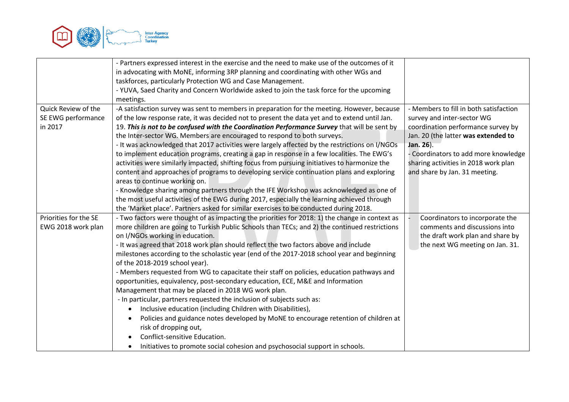

|                       | - Partners expressed interest in the exercise and the need to make use of the outcomes of it    |                                        |
|-----------------------|-------------------------------------------------------------------------------------------------|----------------------------------------|
|                       | in advocating with MoNE, informing 3RP planning and coordinating with other WGs and             |                                        |
|                       | taskforces, particularly Protection WG and Case Management.                                     |                                        |
|                       | - YUVA, Saed Charity and Concern Worldwide asked to join the task force for the upcoming        |                                        |
|                       | meetings.                                                                                       |                                        |
| Quick Review of the   | -A satisfaction survey was sent to members in preparation for the meeting. However, because     | - Members to fill in both satisfaction |
| SE EWG performance    | of the low response rate, it was decided not to present the data yet and to extend until Jan.   | survey and inter-sector WG             |
| in 2017               | 19. This is not to be confused with the Coordination Performance Survey that will be sent by    | coordination performance survey by     |
|                       | the Inter-sector WG. Members are encouraged to respond to both surveys.                         | Jan. 20 (the latter was extended to    |
|                       | - It was acknowledged that 2017 activities were largely affected by the restrictions on I/NGOs  | Jan. 26).                              |
|                       | to implement education programs, creating a gap in response in a few localities. The EWG's      | - Coordinators to add more knowledge   |
|                       | activities were similarly impacted, shifting focus from pursuing initiatives to harmonize the   | sharing activities in 2018 work plan   |
|                       | content and approaches of programs to developing service continuation plans and exploring       | and share by Jan. 31 meeting.          |
|                       | areas to continue working on.                                                                   |                                        |
|                       | - Knowledge sharing among partners through the IFE Workshop was acknowledged as one of          |                                        |
|                       | the most useful activities of the EWG during 2017, especially the learning achieved through     |                                        |
|                       | the 'Market place'. Partners asked for similar exercises to be conducted during 2018.           |                                        |
| Priorities for the SE | - Two factors were thought of as impacting the priorities for 2018: 1) the change in context as | Coordinators to incorporate the        |
| EWG 2018 work plan    | more children are going to Turkish Public Schools than TECs; and 2) the continued restrictions  | comments and discussions into          |
|                       | on I/NGOs working in education.                                                                 | the draft work plan and share by       |
|                       | - It was agreed that 2018 work plan should reflect the two factors above and include            | the next WG meeting on Jan. 31.        |
|                       | milestones according to the scholastic year (end of the 2017-2018 school year and beginning     |                                        |
|                       | of the 2018-2019 school year).                                                                  |                                        |
|                       | - Members requested from WG to capacitate their staff on policies, education pathways and       |                                        |
|                       | opportunities, equivalency, post-secondary education, ECE, M&E and Information                  |                                        |
|                       | Management that may be placed in 2018 WG work plan.                                             |                                        |
|                       | - In particular, partners requested the inclusion of subjects such as:                          |                                        |
|                       | Inclusive education (including Children with Disabilities),                                     |                                        |
|                       | Policies and guidance notes developed by MoNE to encourage retention of children at             |                                        |
|                       | risk of dropping out,                                                                           |                                        |
|                       | Conflict-sensitive Education.                                                                   |                                        |
|                       | Initiatives to promote social cohesion and psychosocial support in schools.                     |                                        |